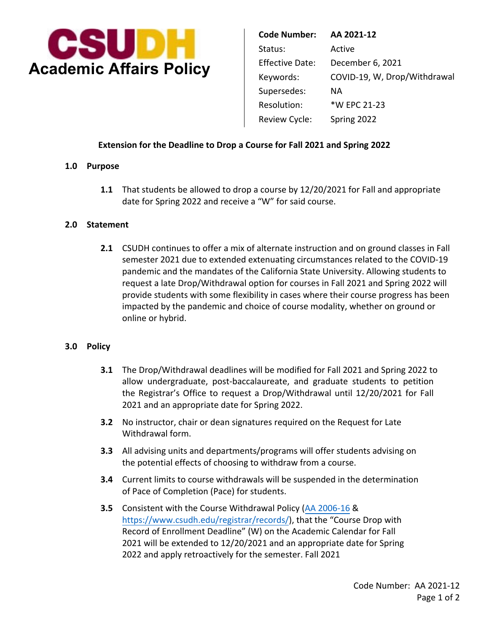

 Supersedes: NA **Code Number: AA 2021-12**  Status: Active Effective Date: December 6, 2021 Keywords: COVID-19, W, Drop/Withdrawal Resolution: \*W EPC 21-23 Review Cycle: Spring 2022

# **Extension for the Deadline to Drop a Course for Fall 2021 and Spring 2022**

#### **1.0 Purpose**

**1.1** That students be allowed to drop a course by 12/20/2021 for Fall and appropriate date for Spring 2022 and receive a "W" for said course.

#### **2.0 Statement**

 pandemic and the mandates of the California State University. Allowing students to **2.1** CSUDH continues to offer a mix of alternate instruction and on ground classes in Fall semester 2021 due to extended extenuating circumstances related to the COVID-19 request a late Drop/Withdrawal option for courses in Fall 2021 and Spring 2022 will provide students with some flexibility in cases where their course progress has been impacted by the pandemic and choice of course modality, whether on ground or online or hybrid.

### **3.0 Policy**

- **3.1** The Drop/Withdrawal deadlines will be modified for Fall 2021 and Spring 2022 to allow undergraduate, post-baccalaureate, and graduate students to petition the Registrar's Office to request a Drop/Withdrawal until 12/20/2021 for Fall 2021 and an appropriate date for Spring 2022.
- Withdrawal form. **3.2** No instructor, chair or dean signatures required on the Request for Late
- **3.3** All advising units and departments/programs will offer students advising on the potential effects of choosing to withdraw from a course.
- **3.4** Current limits to course withdrawals will be suspended in the determination of Pace of Completion (Pace) for students.
- **3.5** Consistent with the Course Withdrawal Policy [\(AA 2006-16](https://www.csudh.edu/Assets/csudh-sites/aapm/docs/aa-2006-16.pdf) & https://www.csudh.edu/registrar[/records/\), that the "Course Dr](https://www.csudh.edu/registrar/records/)op with Record of Enrollment Deadline" (W) on the Academic Calendar for Fall 2021 will be extended to 12/20/2021 and an appropriate date for Spring 2022 and apply retroactively for the semester. Fall 2021